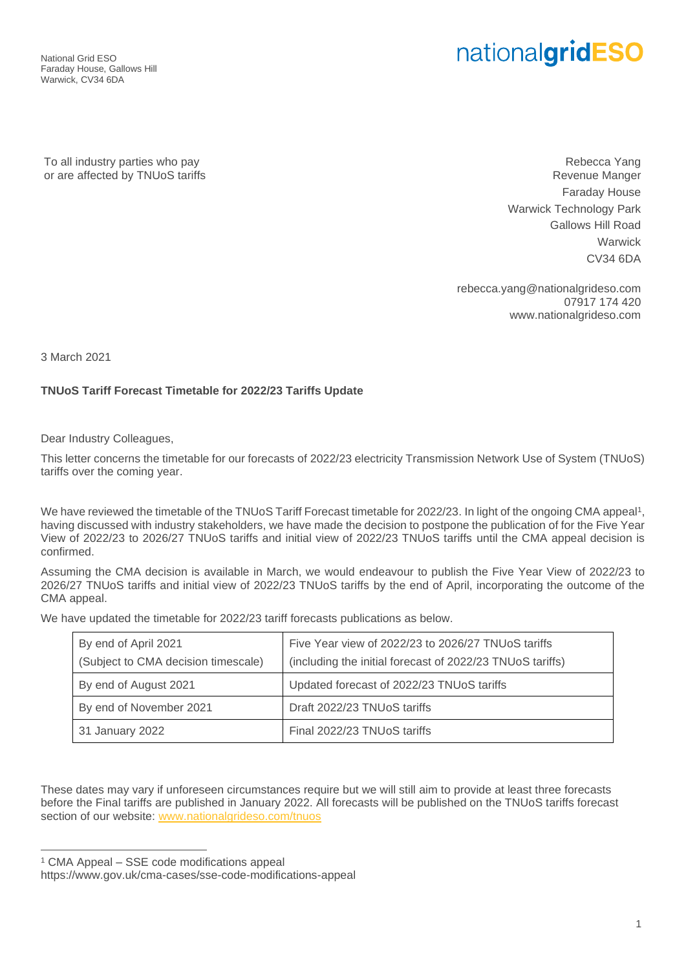National Grid ESO Faraday House, Gallows Hill Warwick, CV34 6DA

## nationalgridESO

To all industry parties who pay or are affected by TNUoS tariffs

Rebecca Yang Revenue Manger Faraday House Warwick Technology Park Gallows Hill Road **Warwick** CV34 6DA

rebecca.yang@nationalgrideso.com 07917 174 420 www.nationalgrideso.com

3 March 2021

## **TNUoS Tariff Forecast Timetable for 2022/23 Tariffs Update**

Dear Industry Colleagues,

This letter concerns the timetable for our forecasts of 2022/23 electricity Transmission Network Use of System (TNUoS) tariffs over the coming year.

We have reviewed the timetable of the TNUoS Tariff Forecast timetable for 2022/23. In light of the ongoing CMA appeal<sup>1</sup>, having discussed with industry stakeholders, we have made the decision to postpone the publication of for the Five Year View of 2022/23 to 2026/27 TNUoS tariffs and initial view of 2022/23 TNUoS tariffs until the CMA appeal decision is confirmed.

Assuming the CMA decision is available in March, we would endeavour to publish the Five Year View of 2022/23 to 2026/27 TNUoS tariffs and initial view of 2022/23 TNUoS tariffs by the end of April, incorporating the outcome of the CMA appeal.

We have updated the timetable for 2022/23 tariff forecasts publications as below.

| By end of April 2021                | Five Year view of 2022/23 to 2026/27 TNUoS tariffs        |
|-------------------------------------|-----------------------------------------------------------|
| (Subject to CMA decision timescale) | (including the initial forecast of 2022/23 TNUoS tariffs) |
| By end of August 2021               | Updated forecast of 2022/23 TNUoS tariffs                 |
| By end of November 2021             | Draft 2022/23 TNUoS tariffs                               |
| 31 January 2022                     | Final 2022/23 TNUoS tariffs                               |

These dates may vary if unforeseen circumstances require but we will still aim to provide at least three forecasts before the Final tariffs are published in January 2022. All forecasts will be published on the TNUoS tariffs forecast section of our website: [www.nationalgrideso.com/tnuos](http://www.nationalgrideso.com/tnuos) 

<sup>1</sup> CMA Appeal – SSE code modifications appeal

https://www.gov.uk/cma-cases/sse-code-modifications-appeal